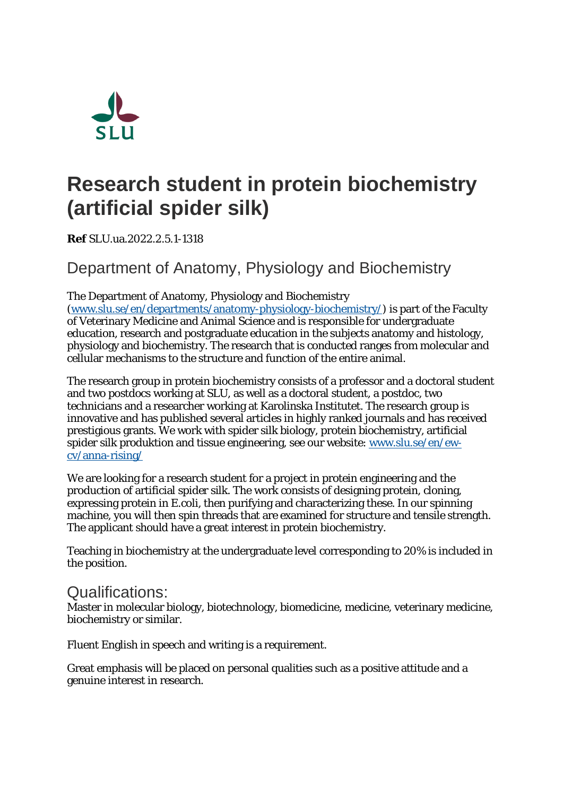

## **Research student in protein biochemistry (artificial spider silk)**

**Ref** SLU.ua.2022.2.5.1-1318

Department of Anatomy, Physiology and Biochemistry

The Department of Anatomy, Physiology and Biochemistry

[\(www.slu.se/en/departments/anatomy-physiology-biochemistry/\)](https://www.slu.se/en/departments/anatomy-physiology-biochemistry/) is part of the Faculty of Veterinary Medicine and Animal Science and is responsible for undergraduate education, research and postgraduate education in the subjects anatomy and histology, physiology and biochemistry. The research that is conducted ranges from molecular and cellular mechanisms to the structure and function of the entire animal.

The research group in protein biochemistry consists of a professor and a doctoral student and two postdocs working at SLU, as well as a doctoral student, a postdoc, two technicians and a researcher working at Karolinska Institutet. The research group is innovative and has published several articles in highly ranked journals and has received prestigious grants. We work with spider silk biology, protein biochemistry, artificial spider silk produktion and tissue engineering, see our website: [www.slu.se/en/ew](https://www.slu.se/en/ew-cv/anna-rising/)[cv/anna-rising/](https://www.slu.se/en/ew-cv/anna-rising/)

We are looking for a research student for a project in protein engineering and the production of artificial spider silk. The work consists of designing protein, cloning, expressing protein in E.coli, then purifying and characterizing these. In our spinning machine, you will then spin threads that are examined for structure and tensile strength. The applicant should have a great interest in protein biochemistry.

Teaching in biochemistry at the undergraduate level corresponding to 20% is included in the position.

## Qualifications:

Master in molecular biology, biotechnology, biomedicine, medicine, veterinary medicine, biochemistry or similar.

Fluent English in speech and writing is a requirement.

Great emphasis will be placed on personal qualities such as a positive attitude and a genuine interest in research.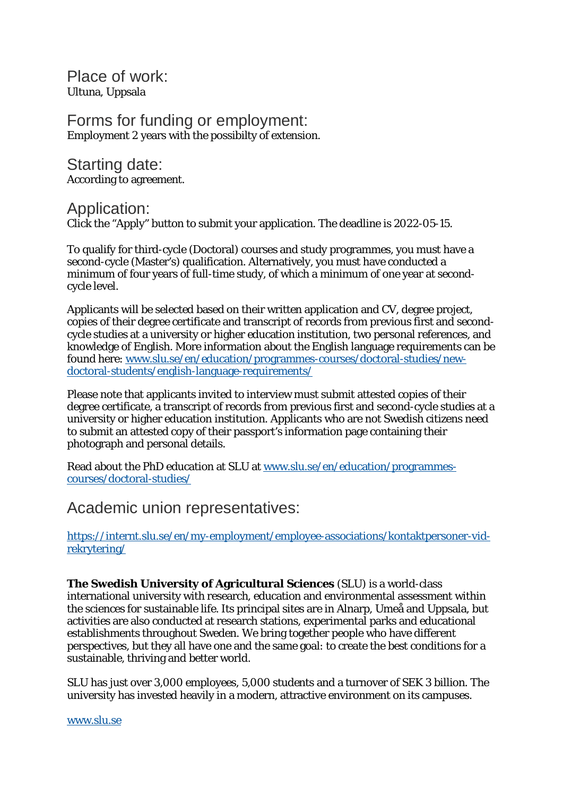Place of work: Ultuna, Uppsala

Forms for funding or employment: Employment 2 years with the possibilty of extension.

Starting date: According to agreement.

Application:

Click the "Apply" button to submit your application. The deadline is 2022-05-15.

To qualify for third-cycle (Doctoral) courses and study programmes, you must have a second-cycle (Master's) qualification. Alternatively, you must have conducted a minimum of four years of full-time study, of which a minimum of one year at secondcycle level.

Applicants will be selected based on their written application and CV, degree project, copies of their degree certificate and transcript of records from previous first and secondcycle studies at a university or higher education institution, two personal references, and knowledge of English. More information about the English language requirements can be found here: [www.slu.se/en/education/programmes-courses/doctoral-studies/new](http://www.slu.se/en/education/programmes-courses/doctoral-studies/new-doctoral-students/english-language-requirements/)[doctoral-students/english-language-requirements/](http://www.slu.se/en/education/programmes-courses/doctoral-studies/new-doctoral-students/english-language-requirements/)

Please note that applicants invited to interview must submit attested copies of their degree certificate, a transcript of records from previous first and second-cycle studies at a university or higher education institution. Applicants who are not Swedish citizens need to submit an attested copy of their passport's information page containing their photograph and personal details.

Read about the PhD education at SLU at [www.slu.se/en/education/programmes](https://www.slu.se/en/education/programmes-courses/doctoral-studies/)[courses/doctoral-studies/](https://www.slu.se/en/education/programmes-courses/doctoral-studies/)

Academic union representatives:

[https://internt.slu.se/en/my-employment/employee-associations/kontaktpersoner-vid](https://internt.slu.se/en/my-employment/employee-associations/kontaktpersoner-vid-rekrytering/)[rekrytering/](https://internt.slu.se/en/my-employment/employee-associations/kontaktpersoner-vid-rekrytering/)

**The Swedish University of Agricultural Sciences** (SLU) is a world-class international university with research, education and environmental assessment within the sciences for sustainable life. Its principal sites are in Alnarp, Umeå and Uppsala, but activities are also conducted at research stations, experimental parks and educational establishments throughout Sweden. We bring together people who have different perspectives, but they all have one and the same goal: to create the best conditions for a sustainable, thriving and better world.

SLU has just over 3,000 employees, 5,000 students and a turnover of SEK 3 billion. The university has invested heavily in a modern, attractive environment on its campuses.

[www.slu.se](http://www.slu.se/)